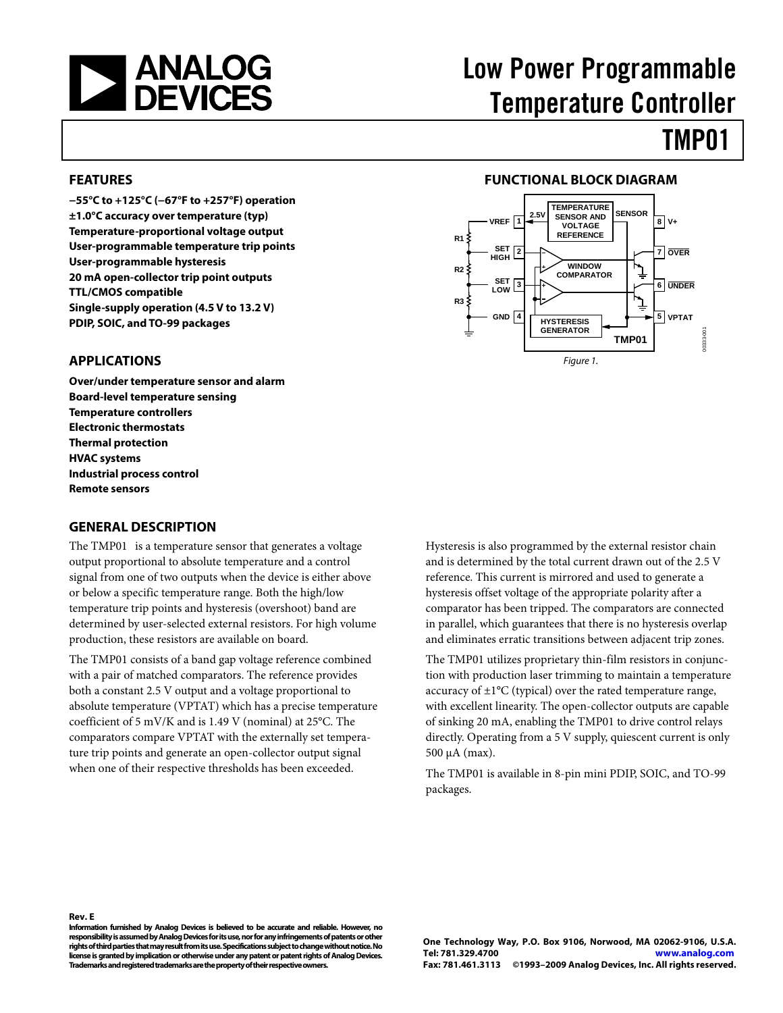<span id="page-0-0"></span>

# Low Power Programmable Temperature Controller

# TMP01

#### **FEATURES**

**−55°C to +125°C (−67°F to +257°F) operation ±1.0°C accuracy over temperature (typ) Temperature-proportional voltage output User-programmable temperature trip points User-programmable hysteresis 20 mA open-collector trip point outputs TTL/CMOS compatible Single-supply operation (4.5 V to 13.2 V) PDIP, SOIC, and TO-99 packages** 

#### **FUNCTIONAL BLOCK DIAGRAM**



#### **APPLICATIONS**

**Over/under temperature sensor and alarm Board-level temperature sensing Temperature controllers Electronic thermostats Thermal protection HVAC systems Industrial process control Remote sensors** 

#### **GENERAL DESCRIPTION**

The TMP01 is a temperature sensor that generates a voltage output proportional to absolute temperature and a control signal from one of two outputs when the device is either above or below a specific temperature range. Both the high/low temperature trip points and hysteresis (overshoot) band are determined by user-selected external resistors. For high volume production, these resistors are available on board.

The TMP01 consists of a band gap voltage reference combined with a pair of matched comparators. The reference provides both a constant 2.5 V output and a voltage proportional to absolute temperature (VPTAT) which has a precise temperature coefficient of 5 mV/K and is 1.49 V (nominal) at 25°C. The comparators compare VPTAT with the externally set temperature trip points and generate an open-collector output signal when one of their respective thresholds has been exceeded.

Hysteresis is also programmed by the external resistor chain and is determined by the total current drawn out of the 2.5 V reference. This current is mirrored and used to generate a hysteresis offset voltage of the appropriate polarity after a comparator has been tripped. The comparators are connected in parallel, which guarantees that there is no hysteresis overlap and eliminates erratic transitions between adjacent trip zones.

The TMP01 utilizes proprietary thin-film resistors in conjunction with production laser trimming to maintain a temperature accuracy of  $\pm 1$ °C (typical) over the rated temperature range, with excellent linearity. The open-collector outputs are capable of sinking 20 mA, enabling the TMP01 to drive control relays directly. Operating from a 5 V supply, quiescent current is only 500 μA (max).

The TMP01 is available in 8-pin mini PDIP, SOIC, and TO-99 packages.

#### **Rev. E**

**Information furnished by Analog Devices is believed to be accurate and reliable. However, no responsibility is assumed by Analog Devices for its use, nor for any infringements of patents or other rights of third parties that may result from its use. Specifications subject to change without notice. No license is granted by implication or otherwise under any patent or patent rights of Analog Devices. Trademarks and registered trademarks are the property of their respective owners.**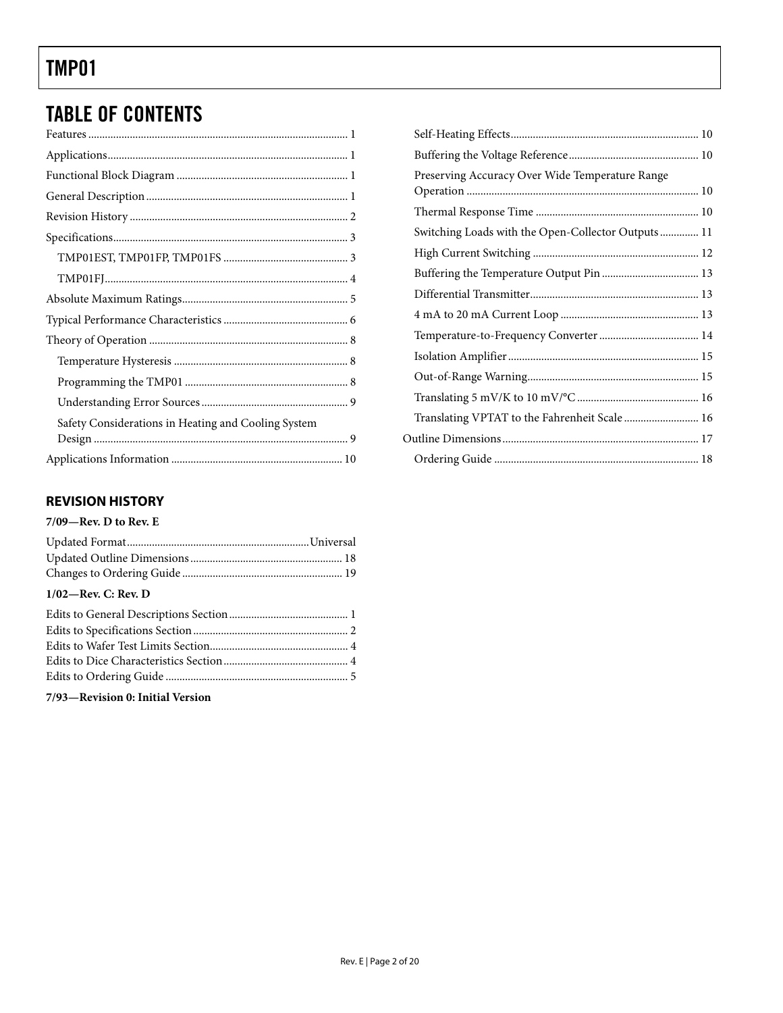## <span id="page-1-0"></span>TABLE OF CONTENTS

| Safety Considerations in Heating and Cooling System |  |
|-----------------------------------------------------|--|
|                                                     |  |
|                                                     |  |
|                                                     |  |

### **REVISION HISTORY**

#### **7/09—Rev. D to Rev. E**

### **1/02—Rev. C: Rev. D**

#### **7/93—Revision 0: Initial Version**

| Preserving Accuracy Over Wide Temperature Range    |  |
|----------------------------------------------------|--|
|                                                    |  |
| Switching Loads with the Open-Collector Outputs 11 |  |
|                                                    |  |
|                                                    |  |
|                                                    |  |
|                                                    |  |
|                                                    |  |
|                                                    |  |
|                                                    |  |
|                                                    |  |
| Translating VPTAT to the Fahrenheit Scale  16      |  |
|                                                    |  |
|                                                    |  |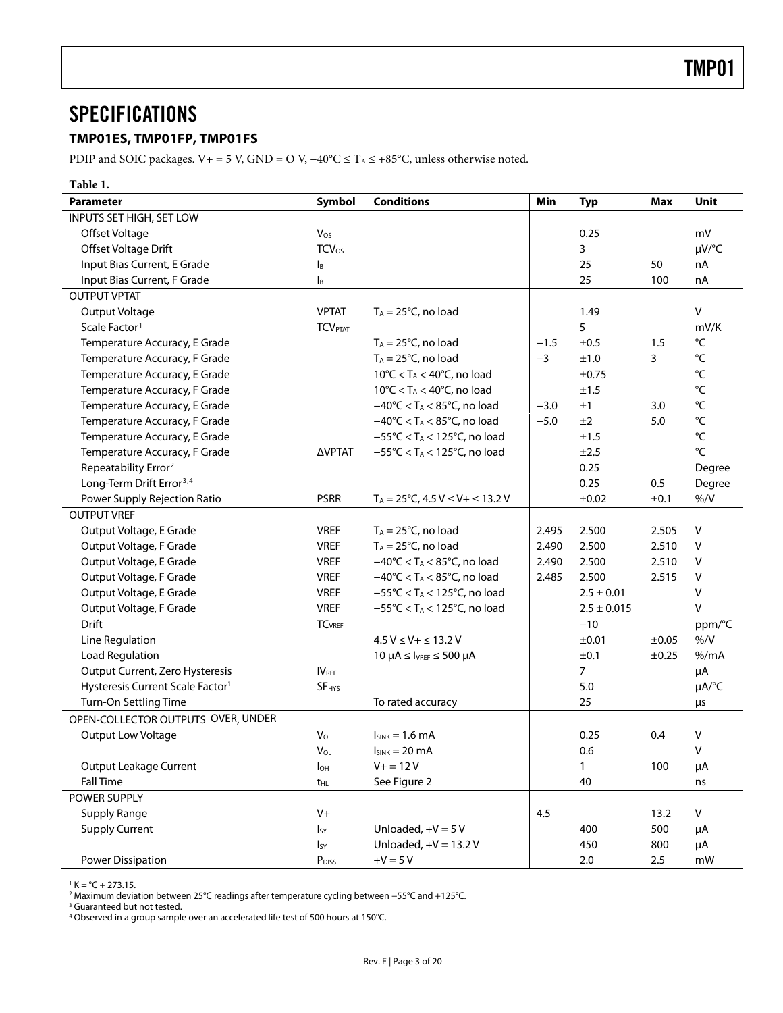### <span id="page-2-0"></span>SPECIFICATIONS

#### **TMP01ES, TMP01FP, TMP01FS**

PDIP and SOIC packages. V+ = 5 V, GND = O V,  $-40^{\circ}C \le T_A \le +85^{\circ}C$ , unless otherwise noted.

**Table 1. Parameter Symbol Conditions Min Typ Max Unit**  INPUTS SET HIGH, SET LOW Offset Voltage | V<sub>os</sub> | 0.25 | mV Offset Voltage Drift **TCV**os | TCV<sub>OS</sub> | 2009 | 2009 | 2009 | 2009 | 2009 | 2009 | 2009 | 2009 | 2009 | 2009 | 2009 | 2009 | 2009 | 2009 | 2009 | 2009 | 2009 | 2009 | 2009 | 2009 | 2009 | 2009 | 2009 | 2009 | 2009 | 2009 Input Bias Current, E Grade IB 25 50 nA Input Bias Current, F Grade IB 25 100 nA OUTPUT VPTAT Output Voltage  $\vert$  VPTAT  $\vert$  T<sub>A</sub> = 25°C, no load 1.49 1.49  $\vert$  V Scale Factor<sup>1</sup> | TCV<sub>PTAT</sub> | | mV/K Temperature Accuracy, E Grade  $\vert$  T<sub>A</sub> = 25°C, no load  $\vert$  -1.5  $\pm$ 0.5 1.5  $\vert$  °C Temperature Accuracy, F Grade  $T_A = 25^{\circ}$ C, no load  $-3 +1.0$  3  $\circ$ Temperature Accuracy, E Grade  $10^{\circ}$ C  $<$  T<sub>A</sub>  $<$  40°C, no load  $\pm$ 0.75  $\pm$   $\frac{1}{2}$   $\frac{1}{2}$ Temperature Accuracy, F Grade  $10^{\circ}$ C  $<$  T<sub>A</sub>  $<$  40°C, no load  $\pm$ 1.5  $\pm$ 1.5  $\cdot$ Temperature Accuracy, E Grade  $-40^{\circ}$ C < T<sub>A</sub> < 85°C, no load  $-3.0$   $\pm 1$  3.0  $\circ$ Temperature Accuracy, F Grade  $-40^{\circ}$ C < T<sub>A</sub> < 85°C, no load  $-5.0$   $\pm 2$  5.0  $\circ$ Temperature Accuracy, E Grade −55°C < TA < 125°C, no load ±1.5 °C Temperature Accuracy, F Grade ΔVPTAT −55°C < TA < 125°C, no load ±2.5 °C Repeatability Error<sup>2</sup> Pegree **Network Contract Contract Contract Contract Contract Contract Contract Contract Contract Contract Contract Contract Degree** Long-Term Drift Error[3](#page-19-0),[4](#page-19-1) 0.25 0.5 Degree Power Supply Rejection Ratio  $PSRR$   $T_A = 25^{\circ}C$ ,  $4.5 \text{ V} \le \text{V} + \le 13.2 \text{ V}$   $\pm 0.02$   $\pm 0.1$   $\frac{96}{V}$ OUTPUT VREF Output Voltage, E Grade  $\vert$  VREF  $\vert$  T<sub>A</sub> = 25°C, no load  $\vert$  2.495 2.500 2.505 V Output Voltage, F Grade  $\vert$  VREF  $\vert$  T<sub>A</sub> = 25°C, no load  $\vert$  2.490 2.500 2.510 V Output Voltage, E Grade  $\vert$  VREF  $\vert$  −40°C < T<sub>A</sub> < 85°C, no load  $\vert$  2.490 2.500 2.510 V Output Voltage, F Grade  $\vert$  VREF  $\vert$  −40°C < T<sub>A</sub> < 85°C, no load  $\vert$  2.485 2.500 2.515 V Output Voltage, E Grade  $\vert$  VREF  $\vert$  −55°C < T<sub>A</sub> < 125°C, no load  $\vert$  2.5 ± 0.01 V Output Voltage, F Grade  $\vert$  VREF  $\vert$  −55°C < T<sub>A</sub> < 125°C, no load  $\vert$  2.5 ± 0.015 V Drift TCVREF −10 ppm/°C Line Regulation  $\begin{vmatrix} 4.5 \vee 5 \vee + 4.5 \vee = 13.2 \vee \end{vmatrix}$   $\begin{vmatrix} 4.5 \vee 5 \vee + 13.2 \vee \end{vmatrix}$   $\begin{vmatrix} 2.01 \vee +0.01 \vee +0.05 \end{vmatrix}$  %/V Load Regulation 10 10 μA  $\leq$  IV  $\mu$ A  $\leq$  IV  $\mu$ E  $\leq$  500 μA  $\leq$  10  $\mu$ A  $\leq$  10.1  $\pm$ 0.25  $\%$ /mA Output Current, Zero Hysteresis  $\vert$  IV<sub>REF</sub>  $\vert$  12 2 2 2 2 2 2 2 4 μA Hysteresis Current Scale Factor<sup>1</sup> SF<sub>HYS</sub> 3 Albert 25.0 5.0 2 Al<sup>p</sup> μA/°C Turn-On Settling Time To refer To rated accuracy Turn-On Settling Time Turns Turns Turns Turns Turns Turns Tur OPEN-COLLECTOR OUTPUTS OVER, UNDER Output Low Voltage  $\vert$   $V_{\text{OL}}$   $\vert$   $\vert$   $\vert$   $\vert$   $\vert$  sink = 1.6 mA  $\vert$  0.25 0.4  $\vert$  V  $V_{\text{OL}}$   $I_{\text{SINK}} = 20 \text{ mA}$  0.6 V Output Leakage Current  $\begin{vmatrix} 1_{\text{OH}} & 1 \end{vmatrix}$  V+ = 12 V 1 1 100 | μA Fall Time the second term of  $\vert$  the the See [Figure 2](#page-3-1) and the second term in the second term in the second term in the second term in the second term in the second term in the second term in the second term in the second POWER SUPPLY Supply Range V+ 4.5 13.2 V Supply Current  $\begin{vmatrix} 1_{SY} \end{vmatrix}$  Unloaded, +V = 5 V 400 500 |  $\mu$ A  $I_{SY}$  Unloaded, +V = 13.2 V 450 800  $\mu$ A Power Dissipation  $\vert$  P<sub>DISS</sub>  $\vert$  +V = 5 V 2.0 2.5 mW

 $1 K = {}^{\circ}C + 273.15.$ 

<sup>2</sup> Maximum deviation between 25°C readings after temperature cycling between −55°C and +125°C.<br><sup>3</sup> Guaranteed but pot tested

<sup>3</sup> Guaranteed but not tested.

4 Observed in a group sample over an accelerated life test of 500 hours at 150°C.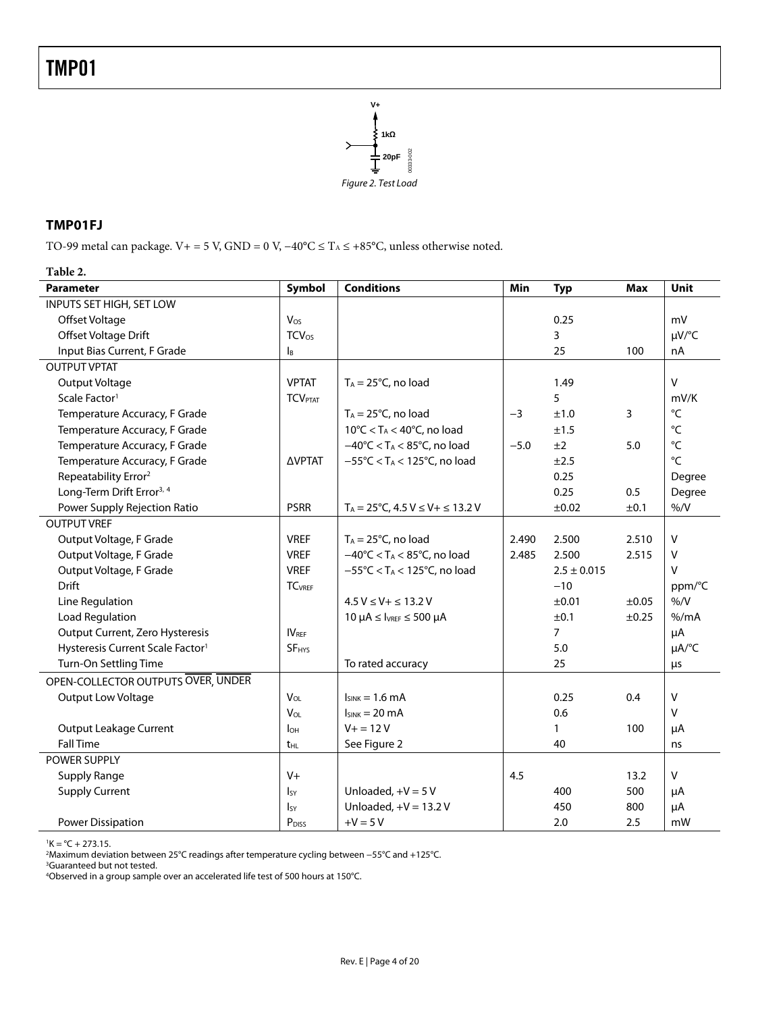

#### <span id="page-3-1"></span><span id="page-3-0"></span>**TMP01FJ**

TO-99 metal can package. V+ = 5 V, GND = 0 V, −40°C ≤ T<sub>A</sub> ≤ +85°C, unless otherwise noted.

#### **Table 2.**

| <b>Parameter</b>                             | Symbol                     | <b>Conditions</b>                                            | Min    | <b>Typ</b>      | <b>Max</b> | <b>Unit</b> |
|----------------------------------------------|----------------------------|--------------------------------------------------------------|--------|-----------------|------------|-------------|
| INPUTS SET HIGH, SET LOW                     |                            |                                                              |        |                 |            |             |
| Offset Voltage                               | $V_{OS}$                   |                                                              |        | 0.25            |            | mV          |
| Offset Voltage Drift                         | <b>TCV<sub>os</sub></b>    |                                                              |        | 3               |            | µV/°C       |
| Input Bias Current, F Grade                  | $\mathsf{I}_{\mathsf{B}}$  |                                                              |        | 25              | 100        | nA          |
| <b>OUTPUT VPTAT</b>                          |                            |                                                              |        |                 |            |             |
| Output Voltage                               | <b>VPTAT</b>               | $T_A = 25^{\circ}C$ , no load                                |        | 1.49            |            | v           |
| Scale Factor <sup>1</sup>                    | <b>TCV</b> <sub>PTAT</sub> |                                                              |        | 5               |            | mV/K        |
| Temperature Accuracy, F Grade                |                            | $T_A = 25^{\circ}C$ , no load                                | $-3$   | ±1.0            | 3          | °C          |
| Temperature Accuracy, F Grade                |                            | $10^{\circ}$ C < T <sub>A</sub> < 40 $^{\circ}$ C, no load   |        | ±1.5            |            | °C          |
| Temperature Accuracy, F Grade                |                            | $-40^{\circ}$ C < T <sub>A</sub> < 85 $^{\circ}$ C, no load  | $-5.0$ | ±2              | 5.0        | °C          |
| Temperature Accuracy, F Grade                | <b>AVPTAT</b>              | $-55^{\circ}$ C < T <sub>A</sub> < 125 $^{\circ}$ C, no load |        | ±2.5            |            | °C          |
| Repeatability Error <sup>2</sup>             |                            |                                                              |        | 0.25            |            | Degree      |
| Long-Term Drift Error <sup>3, 4</sup>        |                            |                                                              |        | 0.25            | 0.5        | Degree      |
| Power Supply Rejection Ratio                 | <b>PSRR</b>                | $T_A = 25^{\circ}C$ , 4.5 V $\leq V + \leq 13.2$ V           |        | ±0.02           | ±0.1       | %N          |
| <b>OUTPUT VREF</b>                           |                            |                                                              |        |                 |            |             |
| Output Voltage, F Grade                      | <b>VREF</b>                | $T_A = 25^{\circ}$ C, no load                                | 2.490  | 2.500           | 2.510      | V           |
| Output Voltage, F Grade                      | <b>VREF</b>                | $-40^{\circ}$ C < TA < 85°C, no load                         | 2.485  | 2.500           | 2.515      | V           |
| Output Voltage, F Grade                      | <b>VREF</b>                | $-55^{\circ}$ C < T <sub>A</sub> < 125 $^{\circ}$ C, no load |        | $2.5 \pm 0.015$ |            | v           |
| <b>Drift</b>                                 | <b>TC</b> <sub>VREF</sub>  |                                                              |        | $-10$           |            | ppm/°C      |
| Line Regulation                              |                            | $4.5 V \le V + \le 13.2 V$                                   |        | ±0.01           | $\pm 0.05$ | %N          |
| <b>Load Regulation</b>                       |                            | $10 \mu A \leq V_{REF} \leq 500 \mu A$                       |        | ±0.1            | $\pm 0.25$ | % /mA       |
| Output Current, Zero Hysteresis              | IV <sub>REF</sub>          |                                                              |        | $\overline{7}$  |            | μA          |
| Hysteresis Current Scale Factor <sup>1</sup> | <b>SF<sub>HYS</sub></b>    |                                                              |        | 5.0             |            | µA/°C       |
| Turn-On Settling Time                        |                            | To rated accuracy                                            |        | 25              |            | μs          |
| OPEN-COLLECTOR OUTPUTS OVER, UNDER           |                            |                                                              |        |                 |            |             |
| Output Low Voltage                           | V <sub>OL</sub>            | $I_{SINK} = 1.6$ mA                                          |        | 0.25            | 0.4        | V           |
|                                              | V <sub>OL</sub>            | $I_{SINK} = 20 \text{ mA}$                                   |        | 0.6             |            | V           |
| <b>Output Leakage Current</b>                | $I_{OH}$                   | $V + 12V$                                                    |        | 1               | 100        | μA          |
| <b>Fall Time</b>                             | t <sub>HL</sub>            | See Figure 2                                                 |        | 40              |            | ns          |
| POWER SUPPLY                                 |                            |                                                              |        |                 |            |             |
| <b>Supply Range</b>                          | $V +$                      |                                                              | 4.5    |                 | 13.2       | v           |
| <b>Supply Current</b>                        | IsY                        | Unloaded, $+V = 5V$                                          |        | 400             | 500        | μA          |
|                                              | $I_{SY}$                   | Unloaded, $+V = 13.2 V$                                      |        | 450             | 800        | μA          |
| <b>Power Dissipation</b>                     | P <sub>DISS</sub>          | $+V = 5V$                                                    |        | 2.0             | 2.5        | mW          |

 ${}^{1}$ K = °C + 273.15.

?Maximum deviation between 25°C readings after temperature cycling between −55°C and +125°C.<br><sup>3</sup>Guaranteed but not tested.<br><sup>4</sup>Observed in a group sample over an accelerated life test of 500 hours at 150°C.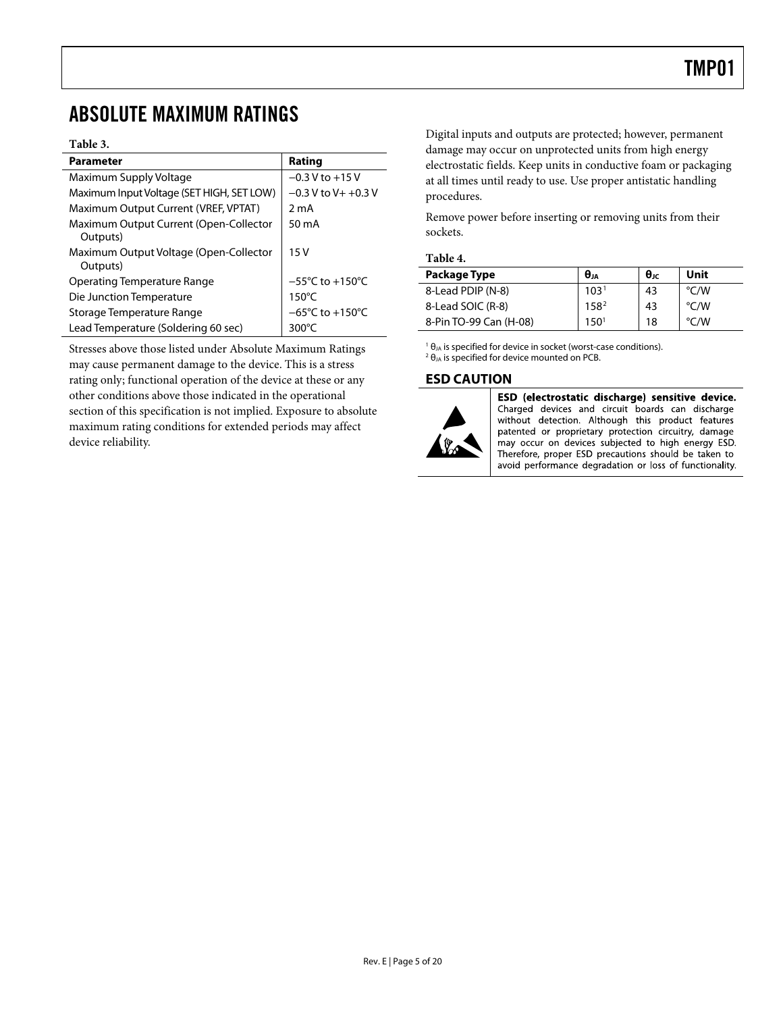### <span id="page-4-0"></span>ABSOLUTE MAXIMUM RATINGS

#### **Table 3.**

| Parameter                                          | Rating                              |
|----------------------------------------------------|-------------------------------------|
| Maximum Supply Voltage                             | $-0.3$ V to $+15$ V                 |
| Maximum Input Voltage (SET HIGH, SET LOW)          | $-0.3$ V to V + +0.3 V              |
| Maximum Output Current (VREF, VPTAT)               | 2 mA                                |
| Maximum Output Current (Open-Collector<br>Outputs) | 50 mA                               |
| Maximum Output Voltage (Open-Collector<br>Outputs) | 15V                                 |
| Operating Temperature Range                        | $-55^{\circ}$ C to $+150^{\circ}$ C |
| Die Junction Temperature                           | $150^{\circ}$ C                     |
| Storage Temperature Range                          | $-65^{\circ}$ C to $+150^{\circ}$ C |
| Lead Temperature (Soldering 60 sec)                | 300°C                               |

Stresses above those listed under Absolute Maximum Ratings may cause permanent damage to the device. This is a stress rating only; functional operation of the device at these or any other conditions above those indicated in the operational section of this specification is not implied. Exposure to absolute maximum rating conditions for extended periods may affect device reliability.

Digital inputs and outputs are protected; however, permanent damage may occur on unprotected units from high energy electrostatic fields. Keep units in conductive foam or packaging at all times until ready to use. Use proper antistatic handling procedures.

Remove power before inserting or removing units from their sockets.

#### **Table 4.**

| Package Type           | $\theta$ JA      | $\theta_{\rm JC}$ | Unit          |
|------------------------|------------------|-------------------|---------------|
| 8-Lead PDIP (N-8)      | 103 <sup>1</sup> | 43                | $\degree$ C/W |
| 8-Lead SOIC (R-8)      | 158 <sup>2</sup> | 43                | $\degree$ C/W |
| 8-Pin TO-99 Can (H-08) | 150 <sup>1</sup> | 18                | $\degree$ C/W |

<sup>1</sup>  $\theta_{JA}$  is specified for device in socket (worst-case conditions).  $2$  θ<sub>JA</sub> is specified for device mounted on PCB.

#### **ESD CAUTION**



ESD (electrostatic discharge) sensitive device. Charged devices and circuit boards can discharge without detection. Although this product features patented or proprietary protection circuitry, damage may occur on devices subjected to high energy ESD. Therefore, proper ESD precautions should be taken to avoid performance degradation or loss of functionality.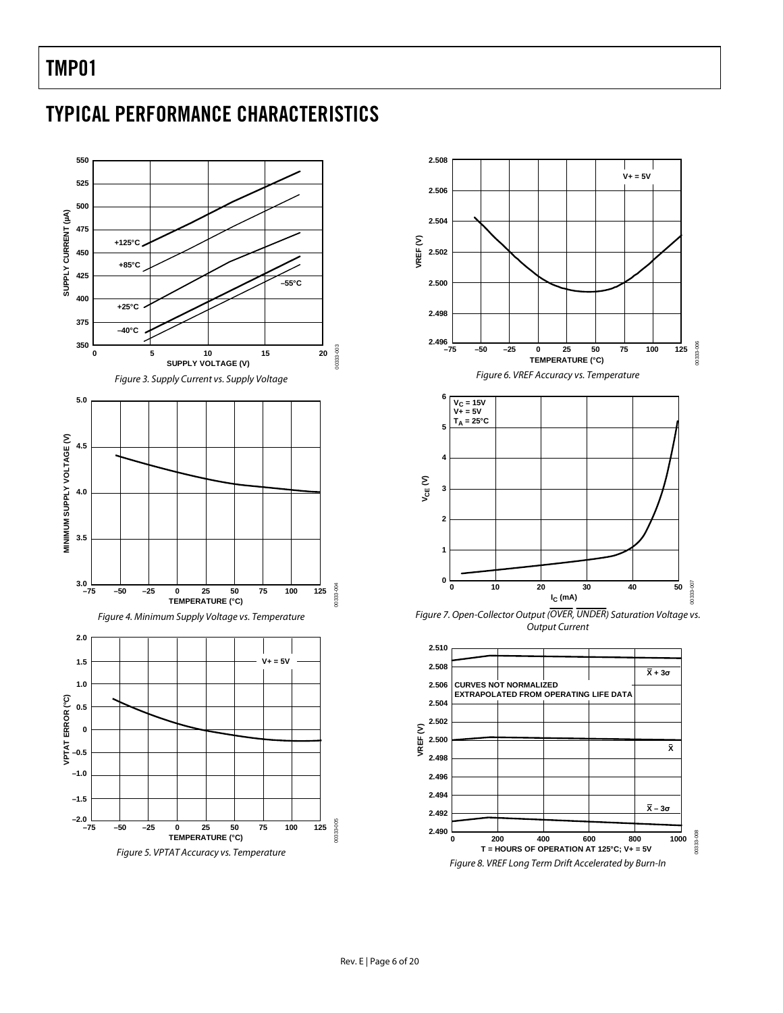## <span id="page-5-0"></span>TYPICAL PERFORMANCE CHARACTERISTICS





Figure 7. Open-Collector Output (OVER, UNDER) Saturation Voltage vs. Output Current

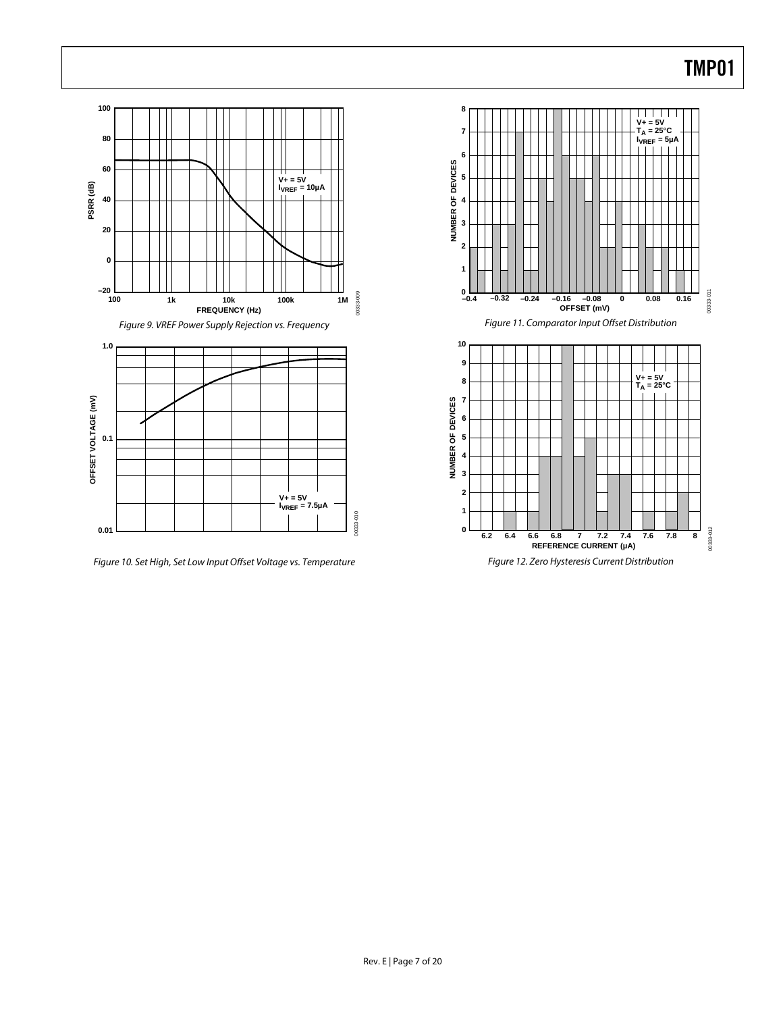

Figure 10. Set High, Set Low Input Offset Voltage vs. Temperature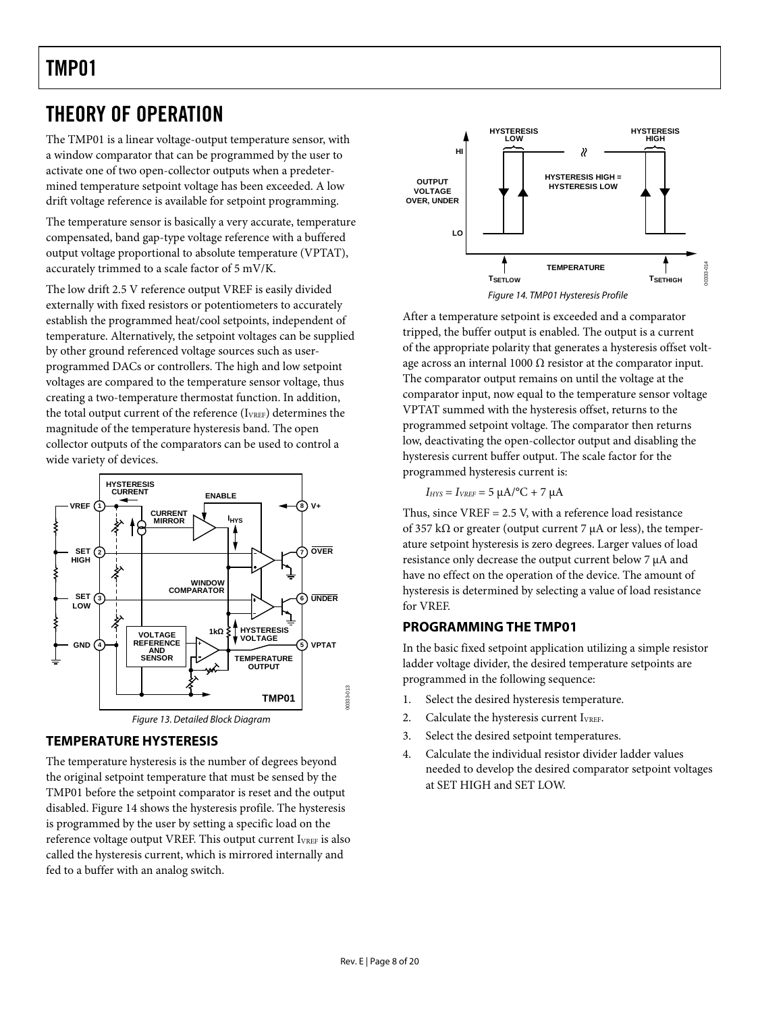## <span id="page-7-0"></span>THEORY OF OPERATION

The TMP01 is a linear voltage-output temperature sensor, with a window comparator that can be programmed by the user to activate one of two open-collector outputs when a predetermined temperature setpoint voltage has been exceeded. A low drift voltage reference is available for setpoint programming.

The temperature sensor is basically a very accurate, temperature compensated, band gap-type voltage reference with a buffered output voltage proportional to absolute temperature (VPTAT), accurately trimmed to a scale factor of 5 mV/K.

<span id="page-7-1"></span>The low drift 2.5 V reference output VREF is easily divided externally with fixed resistors or potentiometers to accurately establish the programmed heat/cool setpoints, independent of temperature. Alternatively, the setpoint voltages can be supplied by other ground referenced voltage sources such as userprogrammed DACs or controllers. The high and low setpoint voltages are compared to the temperature sensor voltage, thus creating a two-temperature thermostat function. In addition, the total output current of the reference (IVREF) determines the magnitude of the temperature hysteresis band. The open collector outputs of the comparators can be used to control a wide variety of devices.



### **TEMPERATURE HYSTERESIS**

The temperature hysteresis is the number of degrees beyond the original setpoint temperature that must be sensed by the TMP01 before the setpoint comparator is reset and the output disabled. [Figure 14](#page-7-1) shows the hysteresis profile. The hysteresis is programmed by the user by setting a specific load on the reference voltage output VREF. This output current I<sub>VREF</sub> is also called the hysteresis current, which is mirrored internally and fed to a buffer with an analog switch.



After a temperature setpoint is exceeded and a comparator tripped, the buffer output is enabled. The output is a current of the appropriate polarity that generates a hysteresis offset voltage across an internal 1000  $\Omega$  resistor at the comparator input. The comparator output remains on until the voltage at the comparator input, now equal to the temperature sensor voltage VPTAT summed with the hysteresis offset, returns to the programmed setpoint voltage. The comparator then returns low, deactivating the open-collector output and disabling the hysteresis current buffer output. The scale factor for the programmed hysteresis current is:

 $I_{HYS} = I_{VREF} = 5 \mu A$ <sup>o</sup>C + 7  $\mu A$ 

Thus, since  $VREF = 2.5 V$ , with a reference load resistance of 357 k $\Omega$  or greater (output current 7 µA or less), the temperature setpoint hysteresis is zero degrees. Larger values of load resistance only decrease the output current below 7 μA and have no effect on the operation of the device. The amount of hysteresis is determined by selecting a value of load resistance for VREF.

#### **PROGRAMMING THE TMP01**

In the basic fixed setpoint application utilizing a simple resistor ladder voltage divider, the desired temperature setpoints are programmed in the following sequence:

- 1. Select the desired hysteresis temperature.
- 2. Calculate the hysteresis current I<sub>VREF</sub>.
- 3. Select the desired setpoint temperatures.
- 4. Calculate the individual resistor divider ladder values needed to develop the desired comparator setpoint voltages at SET HIGH and SET LOW.

00333-013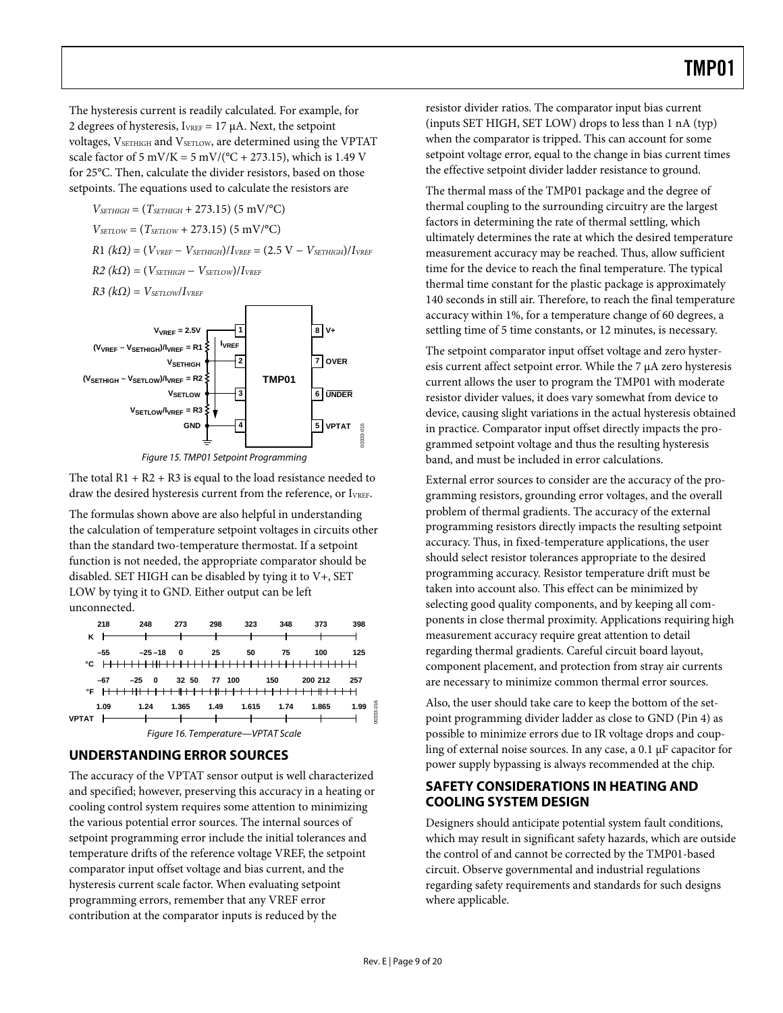<span id="page-8-0"></span>The hysteresis current is readily calculated. For example, for 2 degrees of hysteresis,  $I_{VREF} = 17 \mu A$ . Next, the setpoint voltages, VSETHIGH and VSETLOW, are determined using the VPTAT scale factor of 5 mV/K = 5 mV/( $^{\circ}$ C + 273.15), which is 1.49 V for 25°C. Then, calculate the divider resistors, based on those setpoints. The equations used to calculate the resistors are

$$
V_{\text{SETHICH}} = (T_{\text{SETHICH}} + 273.15) (5 \text{ mV/}^{\circ}\text{C})
$$
\n
$$
V_{\text{SETLOW}} = (T_{\text{SETLOW}} + 273.15) (5 \text{ mV/}^{\circ}\text{C})
$$
\n
$$
R1 (k\Omega) = (V_{\text{VREF}} - V_{\text{SETHIGH}}) / I_{\text{VREF}} = (2.5 \text{ V} - V_{\text{SETHIGH}}) / I_{\text{VREF}}
$$
\n
$$
R2 (k\Omega) = (V_{\text{SETHIGH}} - V_{\text{SETLOW}}) / I_{\text{VREF}}
$$
\n
$$
R3 (k\Omega) = V_{\text{SETLOW}} / I_{\text{VREF}}
$$



Figure 15. TMP01 Setpoint Programming

The total  $R1 + R2 + R3$  is equal to the load resistance needed to draw the desired hysteresis current from the reference, or IVREF.

The formulas shown above are also helpful in understanding the calculation of temperature setpoint voltages in circuits other than the standard two-temperature thermostat. If a setpoint function is not needed, the appropriate comparator should be disabled. SET HIGH can be disabled by tying it to V+, SET LOW by tying it to GND. Either output can be left unconnected.



#### **UNDERSTANDING ERROR SOURCES**

The accuracy of the VPTAT sensor output is well characterized and specified; however, preserving this accuracy in a heating or cooling control system requires some attention to minimizing the various potential error sources. The internal sources of setpoint programming error include the initial tolerances and temperature drifts of the reference voltage VREF, the setpoint comparator input offset voltage and bias current, and the hysteresis current scale factor. When evaluating setpoint programming errors, remember that any VREF error contribution at the comparator inputs is reduced by the

resistor divider ratios. The comparator input bias current (inputs SET HIGH, SET LOW) drops to less than 1 nA (typ) when the comparator is tripped. This can account for some setpoint voltage error, equal to the change in bias current times the effective setpoint divider ladder resistance to ground.

The thermal mass of the TMP01 package and the degree of thermal coupling to the surrounding circuitry are the largest factors in determining the rate of thermal settling, which ultimately determines the rate at which the desired temperature measurement accuracy may be reached. Thus, allow sufficient time for the device to reach the final temperature. The typical thermal time constant for the plastic package is approximately 140 seconds in still air. Therefore, to reach the final temperature accuracy within 1%, for a temperature change of 60 degrees, a settling time of 5 time constants, or 12 minutes, is necessary.

The setpoint comparator input offset voltage and zero hysteresis current affect setpoint error. While the 7 μA zero hysteresis current allows the user to program the TMP01 with moderate resistor divider values, it does vary somewhat from device to device, causing slight variations in the actual hysteresis obtained in practice. Comparator input offset directly impacts the programmed setpoint voltage and thus the resulting hysteresis band, and must be included in error calculations.

External error sources to consider are the accuracy of the programming resistors, grounding error voltages, and the overall problem of thermal gradients. The accuracy of the external programming resistors directly impacts the resulting setpoint accuracy. Thus, in fixed-temperature applications, the user should select resistor tolerances appropriate to the desired programming accuracy. Resistor temperature drift must be taken into account also. This effect can be minimized by selecting good quality components, and by keeping all components in close thermal proximity. Applications requiring high measurement accuracy require great attention to detail regarding thermal gradients. Careful circuit board layout, component placement, and protection from stray air currents are necessary to minimize common thermal error sources.

Also, the user should take care to keep the bottom of the setpoint programming divider ladder as close to GND (Pin 4) as possible to minimize errors due to IR voltage drops and coupling of external noise sources. In any case, a 0.1 μF capacitor for power supply bypassing is always recommended at the chip.

### **SAFETY CONSIDERATIONS IN HEATING AND COOLING SYSTEM DESIGN**

Designers should anticipate potential system fault conditions, which may result in significant safety hazards, which are outside the control of and cannot be corrected by the TMP01-based circuit. Observe governmental and industrial regulations regarding safety requirements and standards for such designs where applicable.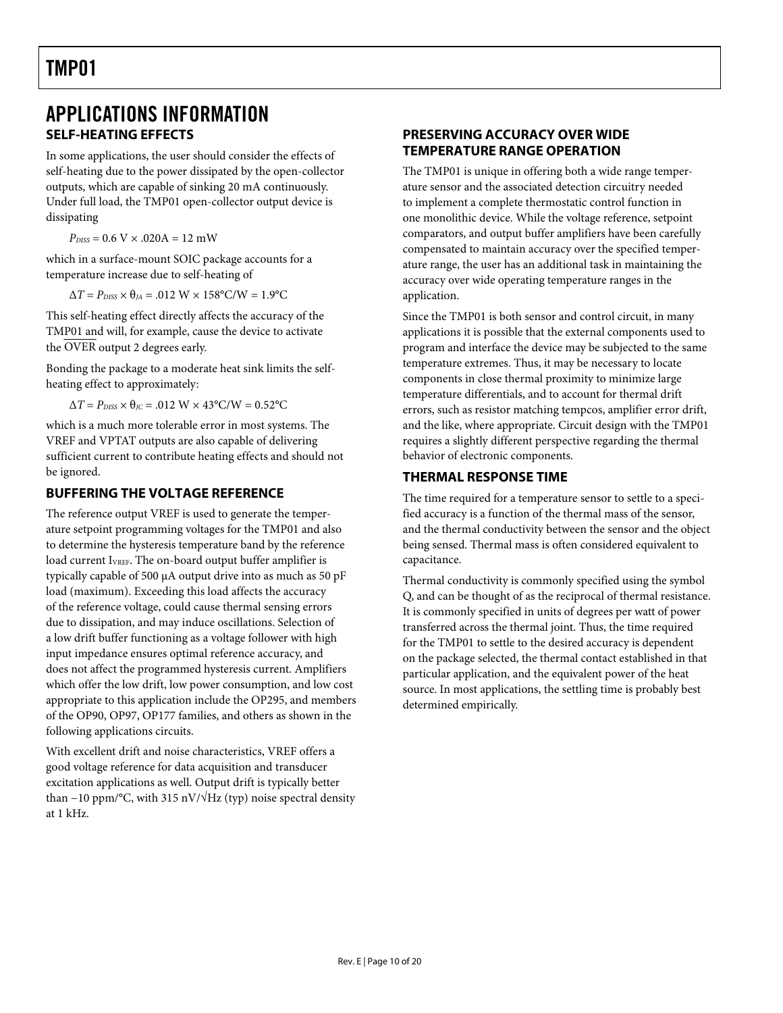### <span id="page-9-0"></span>APPLICATIONS INFORMATION **SELF-HEATING EFFECTS**

In some applications, the user should consider the effects of self-heating due to the power dissipated by the open-collector outputs, which are capable of sinking 20 mA continuously. Under full load, the TMP01 open-collector output device is dissipating

 $P_{DISS} = 0.6 \text{ V} \times .020 \text{A} = 12 \text{ mW}$ 

which in a surface-mount SOIC package accounts for a temperature increase due to self-heating of

 $\Delta T = P_{DISS} \times \theta_{JA} = .012 \text{ W} \times 158^{\circ} \text{C/W} = 1.9^{\circ} \text{C}$ 

This self-heating effect directly affects the accuracy of the TMP01 and will, for example, cause the device to activate the OVER output 2 degrees early.

Bonding the package to a moderate heat sink limits the selfheating effect to approximately:

 $\Delta T = P_{\text{DISS}} \times \theta_{\text{JC}} = .012 \text{ W} \times 43^{\circ} \text{C/W} = 0.52^{\circ} \text{C}$ 

which is a much more tolerable error in most systems. The VREF and VPTAT outputs are also capable of delivering sufficient current to contribute heating effects and should not be ignored.

#### **BUFFERING THE VOLTAGE REFERENCE**

The reference output VREF is used to generate the temperature setpoint programming voltages for the TMP01 and also to determine the hysteresis temperature band by the reference load current I<sub>VREF</sub>. The on-board output buffer amplifier is typically capable of 500 μA output drive into as much as 50 pF load (maximum). Exceeding this load affects the accuracy of the reference voltage, could cause thermal sensing errors due to dissipation, and may induce oscillations. Selection of a low drift buffer functioning as a voltage follower with high input impedance ensures optimal reference accuracy, and does not affect the programmed hysteresis current. Amplifiers which offer the low drift, low power consumption, and low cost appropriate to this application include the OP295, and members of the OP90, OP97, OP177 families, and others as shown in the following applications circuits.

With excellent drift and noise characteristics, VREF offers a good voltage reference for data acquisition and transducer excitation applications as well. Output drift is typically better than  $-10$  ppm/°C, with 315 nV/ $\sqrt{Hz}$  (typ) noise spectral density at 1 kHz.

#### **PRESERVING ACCURACY OVER WIDE TEMPERATURE RANGE OPERATION**

The TMP01 is unique in offering both a wide range temperature sensor and the associated detection circuitry needed to implement a complete thermostatic control function in one monolithic device. While the voltage reference, setpoint comparators, and output buffer amplifiers have been carefully compensated to maintain accuracy over the specified temperature range, the user has an additional task in maintaining the accuracy over wide operating temperature ranges in the application.

Since the TMP01 is both sensor and control circuit, in many applications it is possible that the external components used to program and interface the device may be subjected to the same temperature extremes. Thus, it may be necessary to locate components in close thermal proximity to minimize large temperature differentials, and to account for thermal drift errors, such as resistor matching tempcos, amplifier error drift, and the like, where appropriate. Circuit design with the TMP01 requires a slightly different perspective regarding the thermal behavior of electronic components.

### **THERMAL RESPONSE TIME**

The time required for a temperature sensor to settle to a specified accuracy is a function of the thermal mass of the sensor, and the thermal conductivity between the sensor and the object being sensed. Thermal mass is often considered equivalent to capacitance.

Thermal conductivity is commonly specified using the symbol Q, and can be thought of as the reciprocal of thermal resistance. It is commonly specified in units of degrees per watt of power transferred across the thermal joint. Thus, the time required for the TMP01 to settle to the desired accuracy is dependent on the package selected, the thermal contact established in that particular application, and the equivalent power of the heat source. In most applications, the settling time is probably best determined empirically.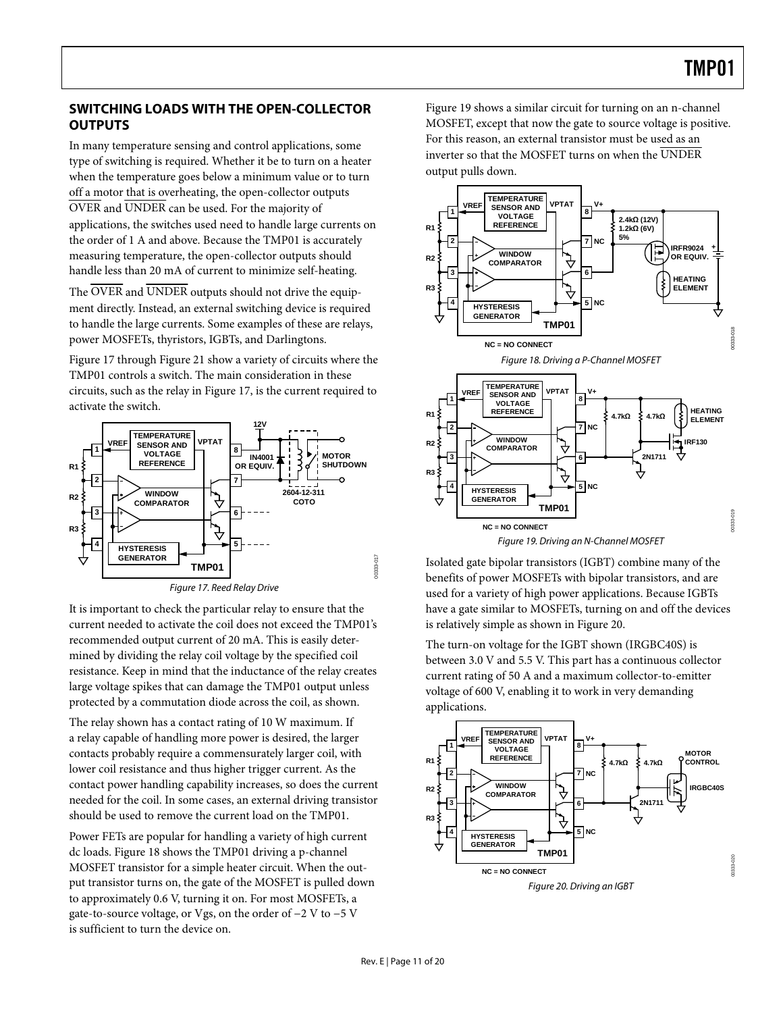### <span id="page-10-0"></span>**SWITCHING LOADS WITH THE OPEN-COLLECTOR OUTPUTS**

In many temperature sensing and control applications, some type of switching is required. Whether it be to turn on a heater when the temperature goes below a minimum value or to turn off a motor that is overheating, the open-collector outputs OVER and UNDER can be used. For the majority of applications, the switches used need to handle large currents on the order of 1 A and above. Because the TMP01 is accurately measuring temperature, the open-collector outputs should handle less than 20 mA of current to minimize self-heating.

The OVER and UNDER outputs should not drive the equipment directly. Instead, an external switching device is required to handle the large currents. Some examples of these are relays, power MOSFETs, thyristors, IGBTs, and Darlingtons.

<span id="page-10-2"></span>[Figure 17](#page-10-1) through [Figure 21](#page-11-1) show a variety of circuits where the TMP01 controls a switch. The main consideration in these circuits, such as the relay in [Figure 17,](#page-10-1) is the current required to activate the switch.



<span id="page-10-3"></span><span id="page-10-1"></span>It is important to check the particular relay to ensure that the current needed to activate the coil does not exceed the TMP01's recommended output current of 20 mA. This is easily determined by dividing the relay coil voltage by the specified coil resistance. Keep in mind that the inductance of the relay creates large voltage spikes that can damage the TMP01 output unless protected by a commutation diode across the coil, as shown.

The relay shown has a contact rating of 10 W maximum. If a relay capable of handling more power is desired, the larger contacts probably require a commensurately larger coil, with lower coil resistance and thus higher trigger current. As the contact power handling capability increases, so does the current needed for the coil. In some cases, an external driving transistor should be used to remove the current load on the TMP01.

<span id="page-10-4"></span>Power FETs are popular for handling a variety of high current dc loads. [Figure 18](#page-10-2) shows the TMP01 driving a p-channel MOSFET transistor for a simple heater circuit. When the output transistor turns on, the gate of the MOSFET is pulled down to approximately 0.6 V, turning it on. For most MOSFETs, a gate-to-source voltage, or Vgs, on the order of −2 V to −5 V is sufficient to turn the device on.

[Figure 19](#page-10-3) shows a similar circuit for turning on an n-channel MOSFET, except that now the gate to source voltage is positive. For this reason, an external transistor must be used as an inverter so that the MOSFET turns on when the UNDER output pulls down.



Isolated gate bipolar transistors (IGBT) combine many of the benefits of power MOSFETs with bipolar transistors, and are used for a variety of high power applications. Because IGBTs have a gate similar to MOSFETs, turning on and off the devices is relatively simple as shown in [Figure 20](#page-10-4).

The turn-on voltage for the IGBT shown (IRGBC40S) is between 3.0 V and 5.5 V. This part has a continuous collector current rating of 50 A and a maximum collector-to-emitter voltage of 600 V, enabling it to work in very demanding applications.



00333-020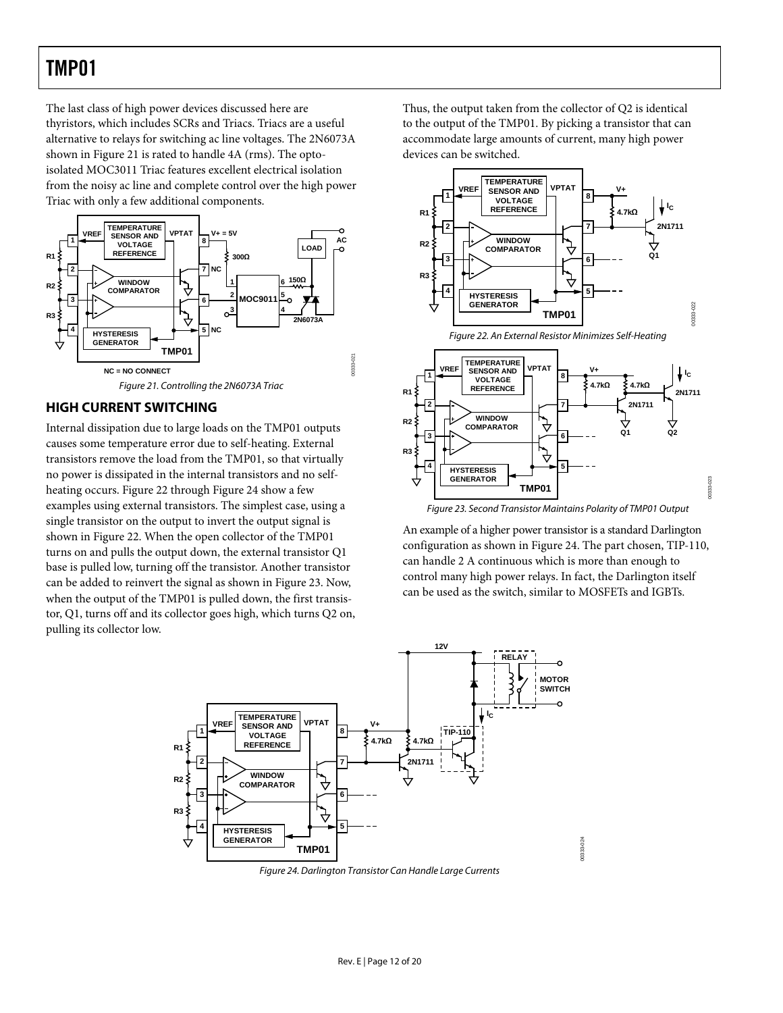<span id="page-11-0"></span>The last class of high power devices discussed here are thyristors, which includes SCRs and Triacs. Triacs are a useful alternative to relays for switching ac line voltages. The 2N6073A shown in [Figure 21](#page-11-1) is rated to handle 4A (rms). The optoisolated MOC3011 Triac features excellent electrical isolation from the noisy ac line and complete control over the high power Triac with only a few additional components.



#### <span id="page-11-2"></span><span id="page-11-1"></span>**HIGH CURRENT SWITCHING**

<span id="page-11-4"></span>Internal dissipation due to large loads on the TMP01 outputs causes some temperature error due to self-heating. External transistors remove the load from the TMP01, so that virtually no power is dissipated in the internal transistors and no selfheating occurs. [Figure 22](#page-11-2) through [Figure 24](#page-11-3) show a few examples using external transistors. The simplest case, using a single transistor on the output to invert the output signal is shown in [Figure 22](#page-11-2). When the open collector of the TMP01 turns on and pulls the output down, the external transistor Q1 base is pulled low, turning off the transistor. Another transistor can be added to reinvert the signal as shown in [Figure 23.](#page-11-4) Now, when the output of the TMP01 is pulled down, the first transistor, Q1, turns off and its collector goes high, which turns Q2 on, pulling its collector low.

Thus, the output taken from the collector of Q2 is identical to the output of the TMP01. By picking a transistor that can accommodate large amounts of current, many high power devices can be switched.



Figure 23. Second Transistor Maintains Polarity of TMP01 Output

An example of a higher power transistor is a standard Darlington configuration as shown in [Figure 24](#page-11-3). The part chosen, TIP-110, can handle 2 A continuous which is more than enough to control many high power relays. In fact, the Darlington itself can be used as the switch, similar to MOSFETs and IGBTs.



<span id="page-11-3"></span>Figure 24. Darlington Transistor Can Handle Large Currents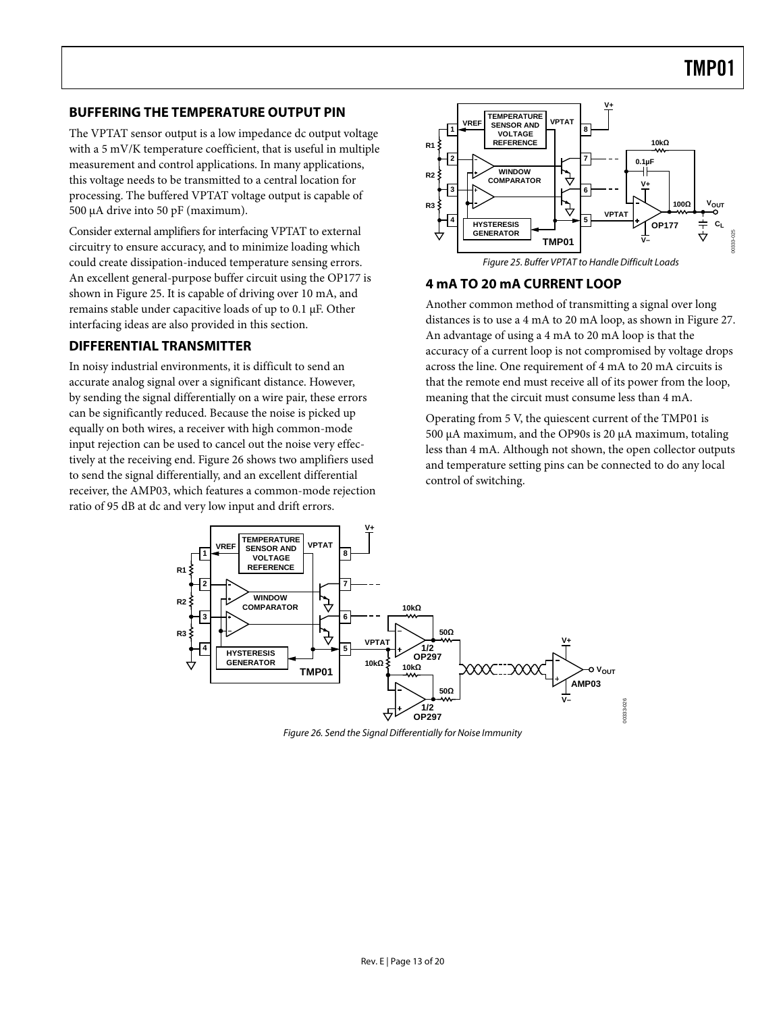#### <span id="page-12-0"></span>**BUFFERING THE TEMPERATURE OUTPUT PIN**

The VPTAT sensor output is a low impedance dc output voltage with a 5 mV/K temperature coefficient, that is useful in multiple measurement and control applications. In many applications, this voltage needs to be transmitted to a central location for processing. The buffered VPTAT voltage output is capable of 500 μA drive into 50 pF (maximum).

<span id="page-12-1"></span>Consider external amplifiers for interfacing VPTAT to external circuitry to ensure accuracy, and to minimize loading which could create dissipation-induced temperature sensing errors. An excellent general-purpose buffer circuit using the OP177 is shown in [Figure 25](#page-12-1). It is capable of driving over 10 mA, and remains stable under capacitive loads of up to 0.1 μF. Other interfacing ideas are also provided in this section.

#### **DIFFERENTIAL TRANSMITTER**

In noisy industrial environments, it is difficult to send an accurate analog signal over a significant distance. However, by sending the signal differentially on a wire pair, these errors can be significantly reduced. Because the noise is picked up equally on both wires, a receiver with high common-mode input rejection can be used to cancel out the noise very effectively at the receiving end. [Figure 26](#page-12-2) shows two amplifiers used to send the signal differentially, and an excellent differential receiver, the AMP03, which features a common-mode rejection ratio of 95 dB at dc and very low input and drift errors.



Figure 25. Buffer VPTAT to Handle Difficult Loads

### **4 mA TO 20 mA CURRENT LOOP**

Another common method of transmitting a signal over long distances is to use a 4 mA to 20 mA loop, as shown in [Figure 27](#page-13-1). An advantage of using a 4 mA to 20 mA loop is that the accuracy of a current loop is not compromised by voltage drops across the line. One requirement of 4 mA to 20 mA circuits is that the remote end must receive all of its power from the loop, meaning that the circuit must consume less than 4 mA.

Operating from 5 V, the quiescent current of the TMP01 is 500 μA maximum, and the OP90s is 20 μA maximum, totaling less than 4 mA. Although not shown, the open collector outputs and temperature setting pins can be connected to do any local control of switching.

<span id="page-12-2"></span>

Figure 26. Send the Signal Differentially for Noise Immunity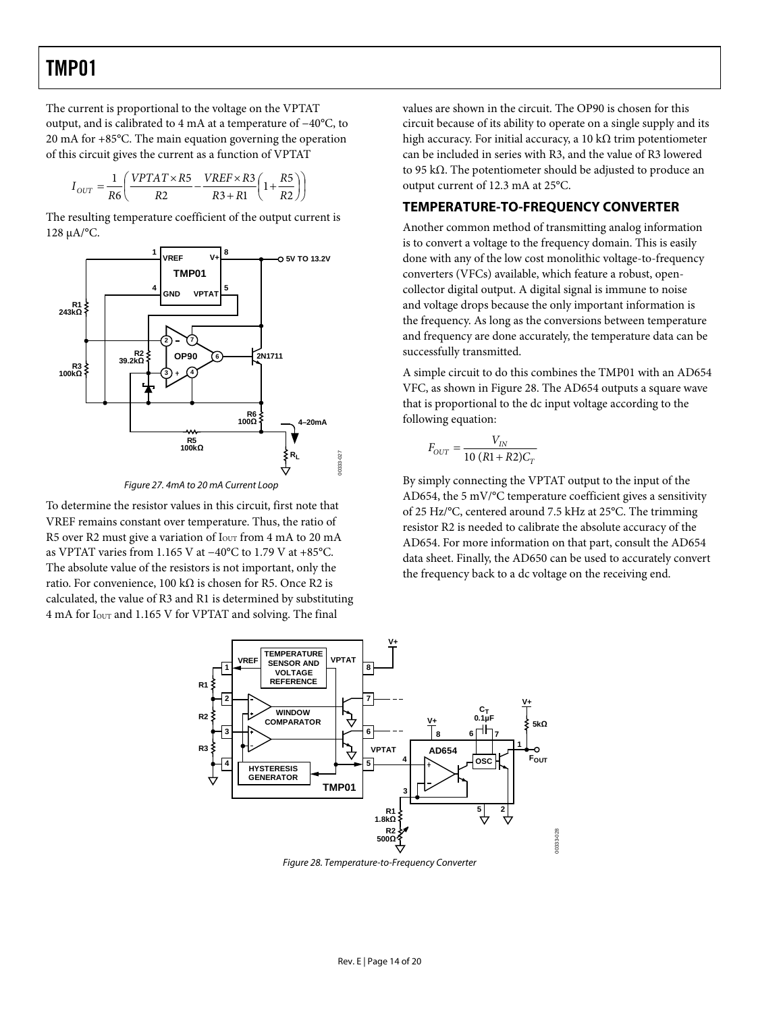<span id="page-13-0"></span>The current is proportional to the voltage on the VPTAT output, and is calibrated to 4 mA at a temperature of −40°C, to 20 mA for +85°C. The main equation governing the operation of this circuit gives the current as a function of VPTAT

$$
I_{OUT} = \frac{1}{R6} \left( \frac{VPTAT \times R5}{R2} - \frac{VREF \times R3}{R3 + R1} \left( 1 + \frac{R5}{R2} \right) \right)
$$

The resulting temperature coefficient of the output current is 128 μA/°C.



Figure 27. 4mA to 20 mA Current Loop

<span id="page-13-1"></span>To determine the resistor values in this circuit, first note that VREF remains constant over temperature. Thus, the ratio of R5 over R2 must give a variation of  $I<sub>OUT</sub>$  from 4 mA to 20 mA as VPTAT varies from 1.165 V at −40°C to 1.79 V at +85°C. The absolute value of the resistors is not important, only the ratio. For convenience, 100 kΩ is chosen for R5. Once R2 is calculated, the value of R3 and R1 is determined by substituting 4 mA for IOUT and 1.165 V for VPTAT and solving. The final

values are shown in the circuit. The OP90 is chosen for this circuit because of its ability to operate on a single supply and its high accuracy. For initial accuracy, a 10 kΩ trim potentiometer can be included in series with R3, and the value of R3 lowered to 95 kΩ. The potentiometer should be adjusted to produce an output current of 12.3 mA at 25°C.

#### **TEMPERATURE-TO-FREQUENCY CONVERTER**

Another common method of transmitting analog information is to convert a voltage to the frequency domain. This is easily done with any of the low cost monolithic voltage-to-frequency converters (VFCs) available, which feature a robust, opencollector digital output. A digital signal is immune to noise and voltage drops because the only important information is the frequency. As long as the conversions between temperature and frequency are done accurately, the temperature data can be successfully transmitted.

A simple circuit to do this combines the TMP01 with an AD654 VFC, as shown in [Figure 28.](#page-13-2) The AD654 outputs a square wave that is proportional to the dc input voltage according to the following equation:

$$
F_{OUT} = \frac{V_{IN}}{10\ (R1 + R2)C_T}
$$

By simply connecting the VPTAT output to the input of the AD654, the 5 mV/°C temperature coefficient gives a sensitivity of 25 Hz/°C, centered around 7.5 kHz at 25°C. The trimming resistor R2 is needed to calibrate the absolute accuracy of the AD654. For more information on that part, consult the AD654 data sheet. Finally, the AD650 can be used to accurately convert the frequency back to a dc voltage on the receiving end.



<span id="page-13-2"></span>Figure 28. Temperature-to-Frequency Converter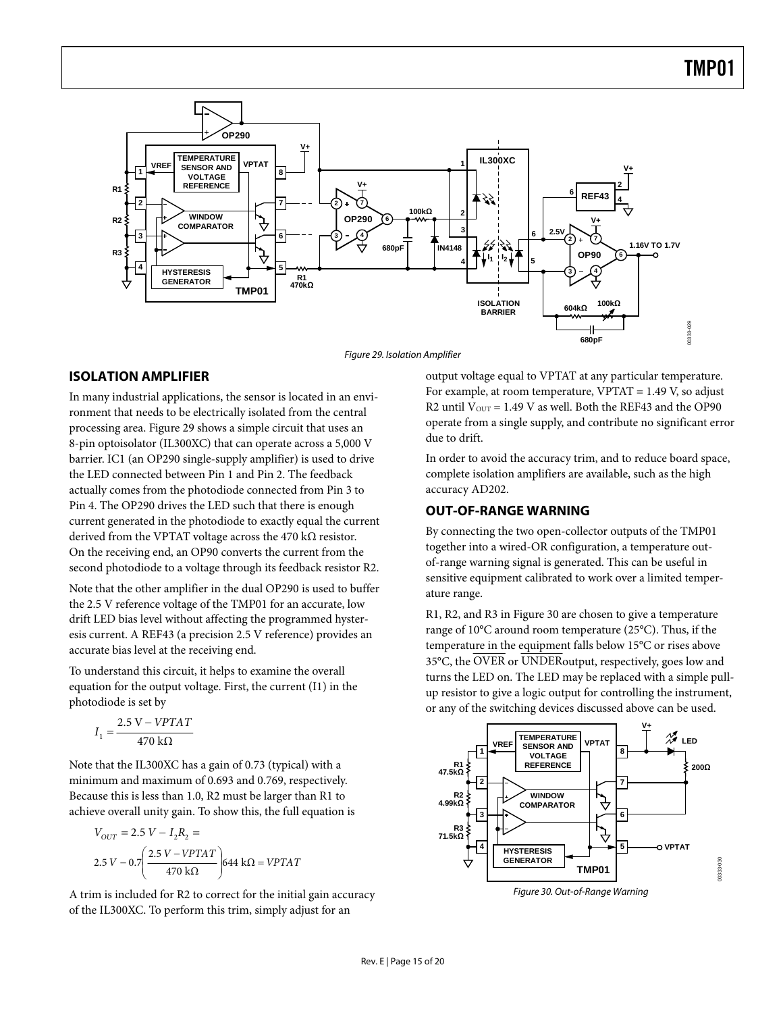<span id="page-14-0"></span>

Figure 29. Isolation Amplifier

#### <span id="page-14-1"></span>**ISOLATION AMPLIFIER**

In many industrial applications, the sensor is located in an environment that needs to be electrically isolated from the central processing area. [Figure 29](#page-14-1) shows a simple circuit that uses an 8-pin optoisolator (IL300XC) that can operate across a 5,000 V barrier. IC1 (an OP290 single-supply amplifier) is used to drive the LED connected between Pin 1 and Pin 2. The feedback actually comes from the photodiode connected from Pin 3 to Pin 4. The OP290 drives the LED such that there is enough current generated in the photodiode to exactly equal the current derived from the VPTAT voltage across the 470 kΩ resistor. On the receiving end, an OP90 converts the current from the second photodiode to a voltage through its feedback resistor R2.

Note that the other amplifier in the dual OP290 is used to buffer the 2.5 V reference voltage of the TMP01 for an accurate, low drift LED bias level without affecting the programmed hysteresis current. A REF43 (a precision 2.5 V reference) provides an accurate bias level at the receiving end.

To understand this circuit, it helps to examine the overall equation for the output voltage. First, the current (I1) in the photodiode is set by

$$
I_1 = \frac{2.5 \text{ V} - VPTAT}{470 \text{ k}\Omega}
$$

Note that the IL300XC has a gain of 0.73 (typical) with a minimum and maximum of 0.693 and 0.769, respectively. Because this is less than 1.0, R2 must be larger than R1 to achieve overall unity gain. To show this, the full equation is

$$
V_{OUT} = 2.5 V - I_2 R_2 =
$$
  
2.5 V - 0.7  $\left( \frac{2.5 V - VPTAT}{470 k\Omega} \right)$  644 kΩ = VPTAT

<span id="page-14-2"></span>A trim is included for R2 to correct for the initial gain accuracy of the IL300XC. To perform this trim, simply adjust for an

output voltage equal to VPTAT at any particular temperature. For example, at room temperature, VPTAT = 1.49 V, so adjust R2 until  $V_{OUT} = 1.49$  V as well. Both the REF43 and the OP90 operate from a single supply, and contribute no significant error due to drift.

In order to avoid the accuracy trim, and to reduce board space, complete isolation amplifiers are available, such as the high accuracy AD202.

#### **OUT-OF-RANGE WARNING**

By connecting the two open-collector outputs of the TMP01 together into a wired-OR configuration, a temperature outof-range warning signal is generated. This can be useful in sensitive equipment calibrated to work over a limited temperature range.

R1, R2, and R3 in [Figure 30](#page-14-2) are chosen to give a temperature range of 10°C around room temperature (25°C). Thus, if the temperature in the equipment falls below 15°C or rises above 35°C, the OVER or UNDERoutput, respectively, goes low and turns the LED on. The LED may be replaced with a simple pullup resistor to give a logic output for controlling the instrument, or any of the switching devices discussed above can be used.

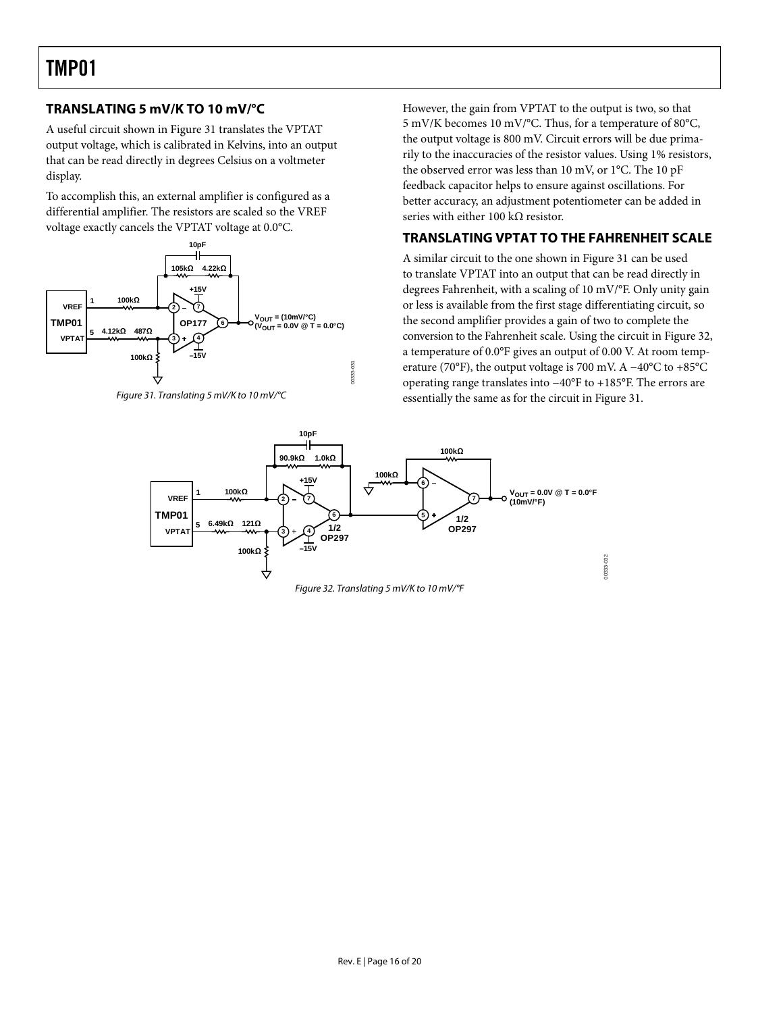### <span id="page-15-0"></span>**TRANSLATING 5 mV/K TO 10 mV/°C**

A useful circuit shown in [Figure 31](#page-15-1) translates the VPTAT output voltage, which is calibrated in Kelvins, into an output that can be read directly in degrees Celsius on a voltmeter display.

To accomplish this, an external amplifier is configured as a differential amplifier. The resistors are scaled so the VREF voltage exactly cancels the VPTAT voltage at 0.0°C.



<span id="page-15-1"></span>

However, the gain from VPTAT to the output is two, so that 5 mV/K becomes 10 mV/°C. Thus, for a temperature of 80°C, the output voltage is 800 mV. Circuit errors will be due primarily to the inaccuracies of the resistor values. Using 1% resistors, the observed error was less than 10 mV, or 1°C. The 10 pF feedback capacitor helps to ensure against oscillations. For better accuracy, an adjustment potentiometer can be added in series with either 100 k $\Omega$  resistor.

### **TRANSLATING VPTAT TO THE FAHRENHEIT SCALE**

A similar circuit to the one shown in [Figure 31](#page-15-1) can be used to translate VPTAT into an output that can be read directly in degrees Fahrenheit, with a scaling of 10 mV/°F. Only unity gain or less is available from the first stage differentiating circuit, so the second amplifier provides a gain of two to complete the conversion to the Fahrenheit scale. Using the circuit in [Figure 32](#page-15-2), a temperature of 0.0°F gives an output of 0.00 V. At room temperature (70°F), the output voltage is 700 mV. A  $-40^{\circ}$ C to +85°C operating range translates into −40°F to +185°F. The errors are essentially the same as for the circuit in [Figure 31](#page-15-1).

<span id="page-15-2"></span>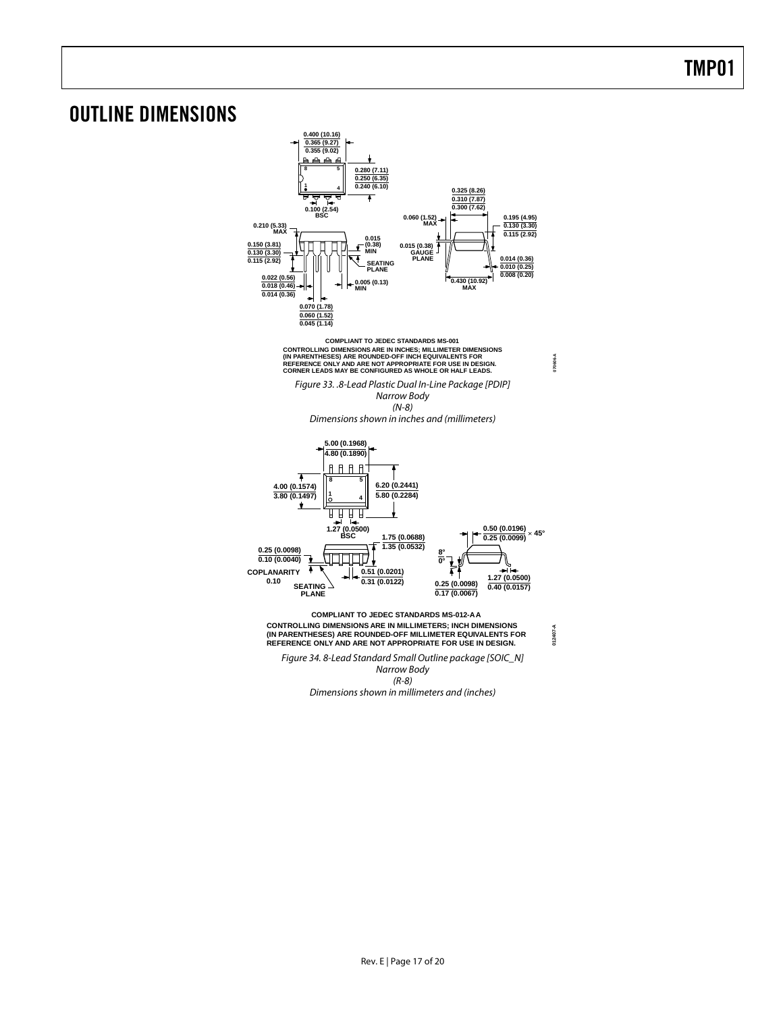### <span id="page-16-0"></span>OUTLINE DIMENSIONS



Dimensions shown in millimeters and (inches)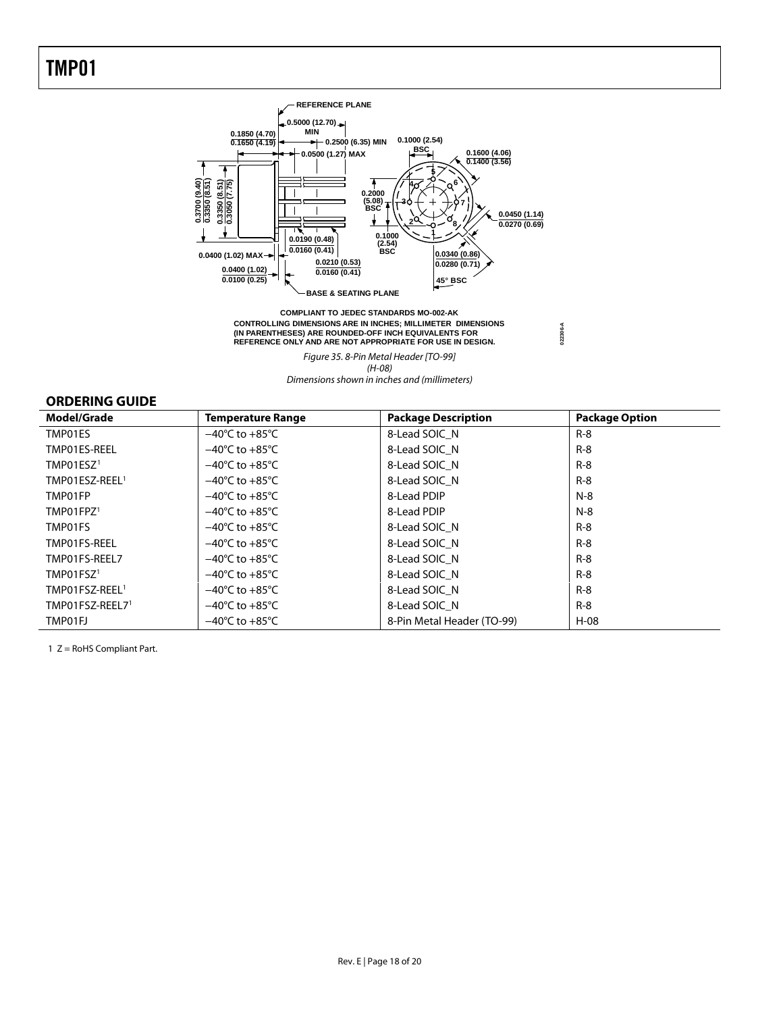<span id="page-17-0"></span>

CONTROLLING DIMENSIONS ARE IN INCHES; MILLIMETER DIMENSIONS<br>(IN PARENTHESES) ARE ROUNDED-OFF INCH EQUIVALENTS FOR<br>REFERENCE ONLY AND ARE NOT APPROPRIATE FOR USE IN DESIGN.  **COMPLIANT TO JEDEC STANDARDS MO-002-AK**

**022306-A**

Figure 35. 8-Pin Metal Header [TO-99] (H-08)

Dimensions shown in inches and (millimeters)

#### **ORDERING GUIDE**

| Model/Grade                | <b>Temperature Range</b>           | <b>Package Description</b> | <b>Package Option</b> |
|----------------------------|------------------------------------|----------------------------|-----------------------|
| TMP01ES                    | $-40^{\circ}$ C to $+85^{\circ}$ C | 8-Lead SOIC N              | $R-8$                 |
| TMP01ES-REEL               | $-40^{\circ}$ C to $+85^{\circ}$ C | 8-Lead SOIC N              | $R-8$                 |
| TMP01ESZ <sup>1</sup>      | $-40^{\circ}$ C to $+85^{\circ}$ C | 8-Lead SOIC N              | $R-8$                 |
| TMP01ESZ-REEL <sup>1</sup> | $-40^{\circ}$ C to $+85^{\circ}$ C | 8-Lead SOIC N              | $R-8$                 |
| TMP01FP                    | $-40^{\circ}$ C to $+85^{\circ}$ C | 8-Lead PDIP                | $N-8$                 |
| TMP01FPZ <sup>1</sup>      | $-40^{\circ}$ C to $+85^{\circ}$ C | 8-Lead PDIP                | $N-8$                 |
| TMP01FS                    | $-40^{\circ}$ C to $+85^{\circ}$ C | 8-Lead SOIC N              | $R-8$                 |
| TMP01FS-REEL               | $-40^{\circ}$ C to $+85^{\circ}$ C | 8-Lead SOIC N              | $R-8$                 |
| TMP01FS-REEL7              | $-40^{\circ}$ C to $+85^{\circ}$ C | 8-Lead SOIC N              | $R - 8$               |
| TMP01FSZ <sup>1</sup>      | $-40^{\circ}$ C to $+85^{\circ}$ C | 8-Lead SOIC N              | $R-8$                 |
| TMP01FSZ-REEL <sup>1</sup> | $-40^{\circ}$ C to $+85^{\circ}$ C | 8-Lead SOIC N              | $R-8$                 |
| TMP01FSZ-REEL71            | $-40^{\circ}$ C to $+85^{\circ}$ C | 8-Lead SOIC N              | $R-8$                 |
| TMP01FJ                    | $-40^{\circ}$ C to $+85^{\circ}$ C | 8-Pin Metal Header (TO-99) | $H-08$                |

1 Z = RoHS Compliant Part.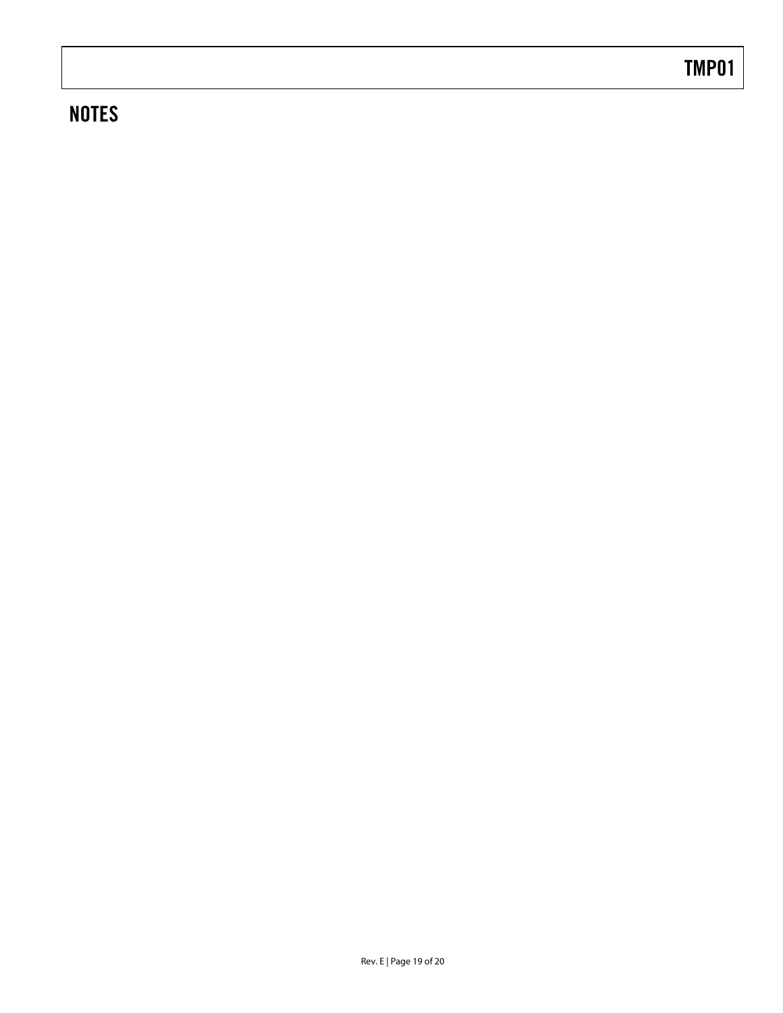## **NOTES**